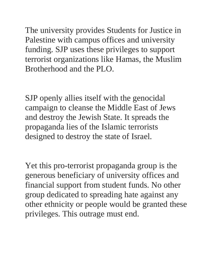The university provides Students for Justice in Palestine with campus offices and university funding. SJP uses these privileges to support terrorist organizations like Hamas, the Muslim Brotherhood and the PLO.

SJP openly allies itself with the genocidal campaign to cleanse the Middle East of Jews and destroy the Jewish State. It spreads the propaganda lies of the Islamic terrorists designed to destroy the state of Israel.

Yet this pro-terrorist propaganda group is the generous beneficiary of university offices and financial support from student funds. No other group dedicated to spreading hate against any other ethnicity or people would be granted these privileges. This outrage must end.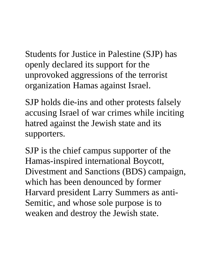Students for Justice in Palestine (SJP) has openly declared its support for the unprovoked aggressions of the terrorist organization Hamas against Israel.

SJP holds die-ins and other protests falsely accusing Israel of war crimes while inciting hatred against the Jewish state and its supporters.

SJP is the chief campus supporter of the Hamas-inspired international Boycott, Divestment and Sanctions (BDS) campaign, which has been denounced by former Harvard president Larry Summers as anti-Semitic, and whose sole purpose is to weaken and destroy the Jewish state.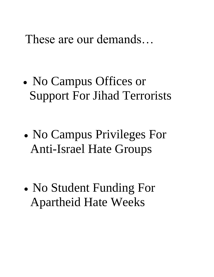These are our demands…

- No Campus Offices or Support For Jihad Terrorists
- No Campus Privileges For Anti-Israel Hate Groups
- No Student Funding For Apartheid Hate Weeks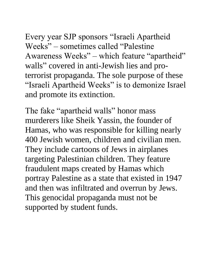Every year SJP sponsors "Israeli Apartheid Weeks" – sometimes called "Palestine Awareness Weeks" – which feature "apartheid" walls" covered in anti-Jewish lies and proterrorist propaganda. The sole purpose of these "Israeli Apartheid Weeks" is to demonize Israel and promote its extinction.

The fake "apartheid walls" honor mass murderers like Sheik Yassin, the founder of Hamas, who was responsible for killing nearly 400 Jewish women, children and civilian men. They include cartoons of Jews in airplanes targeting Palestinian children. They feature fraudulent maps created by Hamas which portray Palestine as a state that existed in 1947 and then was infiltrated and overrun by Jews. This genocidal propaganda must not be supported by student funds.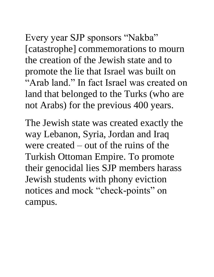Every year SJP sponsors "Nakba" [catastrophe] commemorations to mourn the creation of the Jewish state and to promote the lie that Israel was built on "Arab land." In fact Israel was created on land that belonged to the Turks (who are not Arabs) for the previous 400 years.

The Jewish state was created exactly the way Lebanon, Syria, Jordan and Iraq were created – out of the ruins of the Turkish Ottoman Empire. To promote their genocidal lies SJP members harass Jewish students with phony eviction notices and mock "check-points" on campus.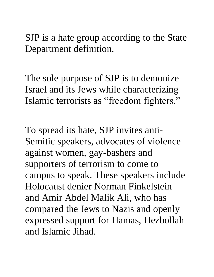SJP is a hate group according to the State Department definition.

The sole purpose of SJP is to demonize Israel and its Jews while characterizing Islamic terrorists as "freedom fighters."

To spread its hate, SJP invites anti-Semitic speakers, advocates of violence against women, gay-bashers and supporters of terrorism to come to campus to speak. These speakers include Holocaust denier Norman Finkelstein and Amir Abdel Malik Ali, who has compared the Jews to Nazis and openly expressed support for Hamas, Hezbollah and Islamic Jihad.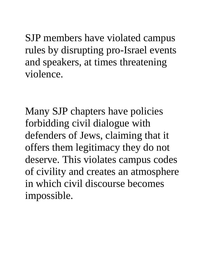SJP members have violated campus rules by disrupting pro-Israel events and speakers, at times threatening violence.

Many SJP chapters have policies forbidding civil dialogue with defenders of Jews, claiming that it offers them legitimacy they do not deserve. This violates campus codes of civility and creates an atmosphere in which civil discourse becomes impossible.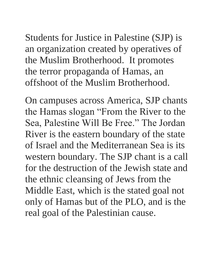Students for Justice in Palestine (SJP) is an organization created by operatives of the Muslim Brotherhood. It promotes the terror propaganda of Hamas, an offshoot of the Muslim Brotherhood.

On campuses across America, SJP chants the Hamas slogan "From the River to the Sea, Palestine Will Be Free." The Jordan River is the eastern boundary of the state of Israel and the Mediterranean Sea is its western boundary. The SJP chant is a call for the destruction of the Jewish state and the ethnic cleansing of Jews from the Middle East, which is the stated goal not only of Hamas but of the PLO, and is the real goal of the Palestinian cause.